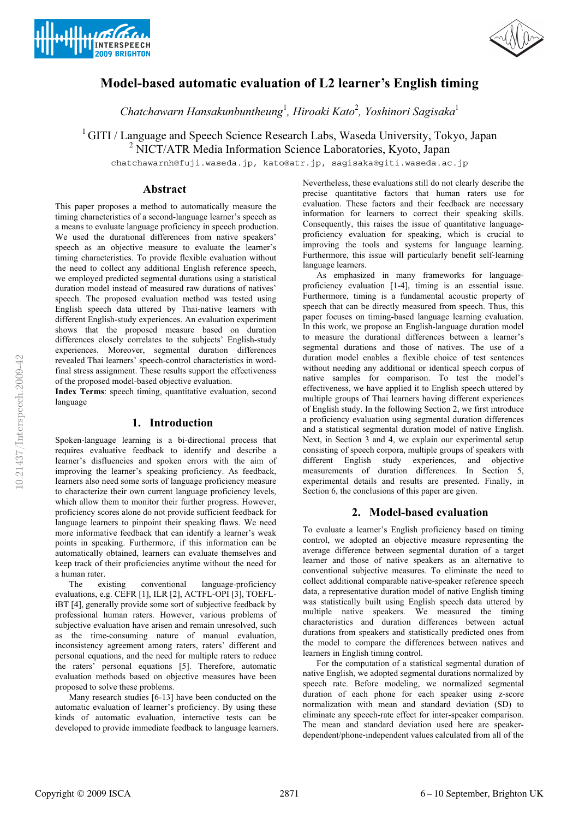



# **Model-based automatic evaluation of L2 learner's English timing**

*Chatchawarn Hansakunbuntheung*<sup>1</sup> *, Hiroaki Kato*<sup>2</sup> *, Yoshinori Sagisaka*<sup>1</sup>

<sup>1</sup> GITI / Language and Speech Science Research Labs, Waseda University, Tokyo, Japan

<sup>2</sup> NICT/ATR Media Information Science Laboratories, Kyoto, Japan

chatchawarnh@fuji.waseda.jp, kato@atr.jp, sagisaka@giti.waseda.ac.jp

## **Abstract**

This paper proposes a method to automatically measure the timing characteristics of a second-language learner's speech as a means to evaluate language proficiency in speech production. We used the durational differences from native speakers' speech as an objective measure to evaluate the learner's timing characteristics. To provide flexible evaluation without the need to collect any additional English reference speech, we employed predicted segmental durations using a statistical duration model instead of measured raw durations of natives' speech. The proposed evaluation method was tested using English speech data uttered by Thai-native learners with different English-study experiences. An evaluation experiment shows that the proposed measure based on duration differences closely correlates to the subjects' English-study experiences. Moreover, segmental duration differences revealed Thai learners' speech-control characteristics in wordfinal stress assignment. These results support the effectiveness of the proposed model-based objective evaluation.

**Index Terms**: speech timing, quantitative evaluation, second language

## **1. Introduction**

Spoken-language learning is a bi-directional process that requires evaluative feedback to identify and describe a learner's disfluencies and spoken errors with the aim of improving the learner's speaking proficiency. As feedback, learners also need some sorts of language proficiency measure to characterize their own current language proficiency levels, which allow them to monitor their further progress. However, proficiency scores alone do not provide sufficient feedback for language learners to pinpoint their speaking flaws. We need more informative feedback that can identify a learner's weak points in speaking. Furthermore, if this information can be automatically obtained, learners can evaluate themselves and keep track of their proficiencies anytime without the need for a human rater.

The existing conventional language-proficiency evaluations, e.g. CEFR [1], ILR [2], ACTFL-OPI [3], TOEFLiBT [4], generally provide some sort of subjective feedback by professional human raters. However, various problems of subjective evaluation have arisen and remain unresolved, such as the time-consuming nature of manual evaluation, inconsistency agreement among raters, raters' different and personal equations, and the need for multiple raters to reduce the raters' personal equations [5]. Therefore, automatic evaluation methods based on objective measures have been proposed to solve these problems.

Many research studies [6-13] have been conducted on the automatic evaluation of learner's proficiency. By using these kinds of automatic evaluation, interactive tests can be developed to provide immediate feedback to language learners. Nevertheless, these evaluations still do not clearly describe the precise quantitative factors that human raters use for evaluation. These factors and their feedback are necessary information for learners to correct their speaking skills. Consequently, this raises the issue of quantitative languageproficiency evaluation for speaking, which is crucial to improving the tools and systems for language learning. Furthermore, this issue will particularly benefit self-learning language learners.

As emphasized in many frameworks for languageproficiency evaluation [1-4], timing is an essential issue. Furthermore, timing is a fundamental acoustic property of speech that can be directly measured from speech. Thus, this paper focuses on timing-based language learning evaluation. In this work, we propose an English-language duration model to measure the durational differences between a learner's segmental durations and those of natives. The use of a duration model enables a flexible choice of test sentences without needing any additional or identical speech corpus of native samples for comparison. To test the model's effectiveness, we have applied it to English speech uttered by multiple groups of Thai learners having different experiences of English study. In the following Section 2, we first introduce a proficiency evaluation using segmental duration differences and a statistical segmental duration model of native English. Next, in Section 3 and 4, we explain our experimental setup consisting of speech corpora, multiple groups of speakers with different English study experiences, and objective measurements of duration differences. In Section 5, experimental details and results are presented. Finally, in Section 6, the conclusions of this paper are given.

# **2. Model-based evaluation**

To evaluate a learner's English proficiency based on timing control, we adopted an objective measure representing the average difference between segmental duration of a target learner and those of native speakers as an alternative to conventional subjective measures. To eliminate the need to collect additional comparable native-speaker reference speech data, a representative duration model of native English timing was statistically built using English speech data uttered by multiple native speakers. We measured the timing characteristics and duration differences between actual durations from speakers and statistically predicted ones from the model to compare the differences between natives and learners in English timing control.

For the computation of a statistical segmental duration of native English, we adopted segmental durations normalized by speech rate. Before modeling, we normalized segmental duration of each phone for each speaker using z-score normalization with mean and standard deviation (SD) to eliminate any speech-rate effect for inter-speaker comparison. The mean and standard deviation used here are speakerdependent/phone-independent values calculated from all of the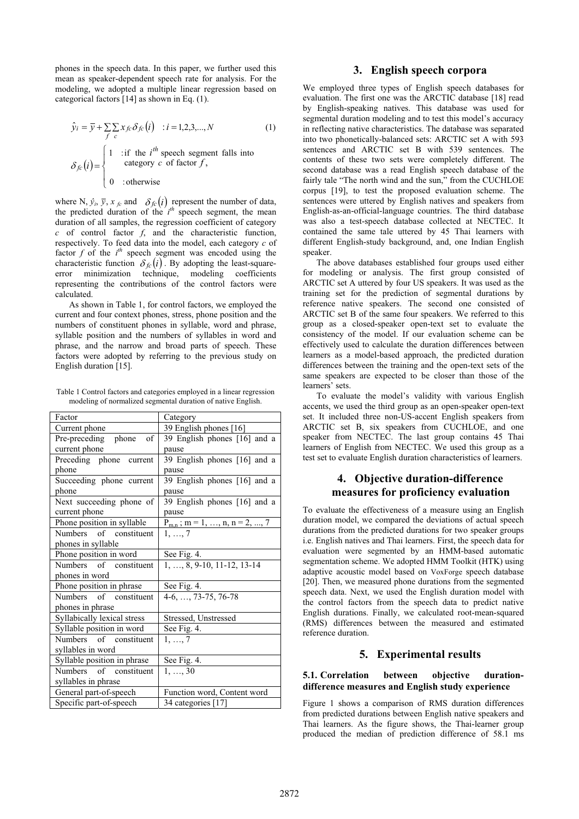phones in the speech data. In this paper, we further used this mean as speaker-dependent speech rate for analysis. For the modeling, we adopted a multiple linear regression based on categorical factors [14] as shown in Eq. (1).

$$
\hat{y}_i = \overline{y} + \sum_{f} \sum_{c} x_{fc} \delta_{fc}(i) : i = 1, 2, 3, ..., N
$$
\n
$$
\delta_{fc}(i) = \begin{cases}\n1 & \text{if the } i^{th} \text{ speech segment falls into} \\
\text{category } c \text{ of factor } f, \\
0 & \text{otherwise}\n\end{cases}
$$
\n(1)

where N,  $\hat{y}_i$ ,  $\bar{y}$ ,  $x_{fc}$  and  $\delta_{fc}(i)$  represent the number of data, the predicted duration of the *i*<sup>th</sup> speech segment, the mean where N,  $\hat{y}_i$ ,  $\bar{y}$ ,  $x_{fc}$  and  $\delta_{fc}(i)$  represent the number of data, the predicted duration of the *i*<sup>th</sup> speech segment, the mean duration of all samples the regression coefficient of category. duration of all samples, the regression coefficient of category *c* of control factor *f*, and the characteristic function, respectively. To feed data into the model, each category *c* of factor *f* of the *i*<sup>*n*</sup> speech segment was encoded using the characteristic function  $\delta_{fc}(i)$ . By adopting the least-square-<br>error minimization technique, modeling coefficients factor  $f$  of the  $i<sup>th</sup>$  speech segment was encoded using the error minimization technique, modeling coefficients representing the contributions of the control factors were calculated.

As shown in Table 1, for control factors, we employed the current and four context phones, stress, phone position and the numbers of constituent phones in syllable, word and phrase, syllable position and the numbers of syllables in word and phrase, and the narrow and broad parts of speech. These factors were adopted by referring to the previous study on English duration [15].

Table 1 Control factors and categories employed in a linear regression modeling of normalized segmental duration of native English.

| Factor                      | Category                           |
|-----------------------------|------------------------------------|
| Current phone               | 39 English phones [16]             |
| Pre-preceding phone<br>of   | 39 English phones [16] and a       |
| current phone               | pause                              |
| Preceding phone current     | 39 English phones [16] and a       |
| phone                       | pause                              |
| Succeeding phone current    | 39 English phones [16] and a       |
| phone                       | pause                              |
| Next succeeding phone of    | 39 English phones [16] and a       |
| current phone               | pause                              |
| Phone position in syllable  | $P_{m,n}$ ; m = 1, , n, n = 2, , 7 |
| Numbers of constituent      | $1, \ldots, 7$                     |
| phones in syllable          |                                    |
| Phone position in word      | See Fig. 4.                        |
| Numbers of constituent      | $1, \ldots, 8, 9-10, 11-12, 13-14$ |
| phones in word              |                                    |
| Phone position in phrase    | See Fig. 4.                        |
| Numbers of constituent      | $4-6, \ldots, 73-75, 76-78$        |
| phones in phrase            |                                    |
| Syllabically lexical stress | Stressed, Unstressed               |
| Syllable position in word   | See Fig. 4.                        |
| Numbers of constituent      | $1, \ldots, 7$                     |
| syllables in word           |                                    |
| Syllable position in phrase | See Fig. 4.                        |
| Numbers of constituent      | 1, , 30                            |
| syllables in phrase         |                                    |
| General part-of-speech      | Function word, Content word        |
| Specific part-of-speech     | 34 categories [17]                 |

### **3. English speech corpora**

We employed three types of English speech databases for evaluation. The first one was the ARCTIC database [18] read by English-speaking natives. This database was used for segmental duration modeling and to test this model's accuracy in reflecting native characteristics. The database was separated into two phonetically-balanced sets: ARCTIC set A with 593 sentences and ARCTIC set B with 539 sentences. The contents of these two sets were completely different. The second database was a read English speech database of the fairly tale "The north wind and the sun," from the CUCHLOE corpus [19], to test the proposed evaluation scheme. The sentences were uttered by English natives and speakers from English-as-an-official-language countries. The third database was also a test-speech database collected at NECTEC. It contained the same tale uttered by 45 Thai learners with different English-study background, and, one Indian English speaker.

The above databases established four groups used either for modeling or analysis. The first group consisted of ARCTIC set A uttered by four US speakers. It was used as the training set for the prediction of segmental durations by reference native speakers. The second one consisted of ARCTIC set B of the same four speakers. We referred to this group as a closed-speaker open-text set to evaluate the consistency of the model. If our evaluation scheme can be effectively used to calculate the duration differences between learners as a model-based approach, the predicted duration differences between the training and the open-text sets of the same speakers are expected to be closer than those of the learners' sets.

To evaluate the model's validity with various English accents, we used the third group as an open-speaker open-text set. It included three non-US-accent English speakers from ARCTIC set B, six speakers from CUCHLOE, and one speaker from NECTEC. The last group contains 45 Thai learners of English from NECTEC. We used this group as a test set to evaluate English duration characteristics of learners.

# **4. Objective duration-difference measures for proficiency evaluation**

To evaluate the effectiveness of a measure using an English duration model, we compared the deviations of actual speech durations from the predicted durations for two speaker groups i.e. English natives and Thai learners. First, the speech data for evaluation were segmented by an HMM-based automatic segmentation scheme. We adopted HMM Toolkit (HTK) using adaptive acoustic model based on VoxForge speech database [20]. Then, we measured phone durations from the segmented speech data. Next, we used the English duration model with the control factors from the speech data to predict native English durations. Finally, we calculated root-mean-squared (RMS) differences between the measured and estimated reference duration.

## **5. Experimental results**

#### **5.1. Correlation between objective durationdifference measures and English study experience**

Figure 1 shows a comparison of RMS duration differences from predicted durations between English native speakers and Thai learners. As the figure shows, the Thai-learner group produced the median of prediction difference of 58.1 ms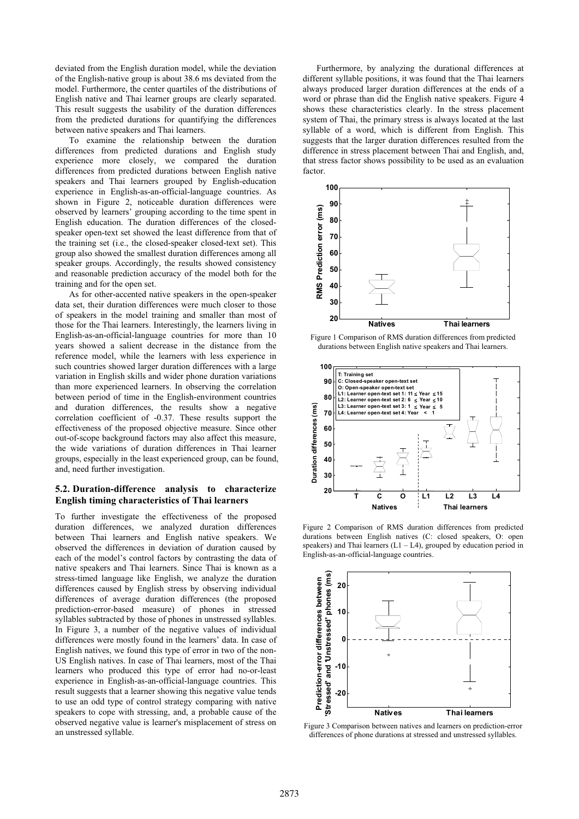deviated from the English duration model, while the deviation of the English-native group is about 38.6 ms deviated from the model. Furthermore, the center quartiles of the distributions of English native and Thai learner groups are clearly separated. This result suggests the usability of the duration differences from the predicted durations for quantifying the differences between native speakers and Thai learners.

To examine the relationship between the duration differences from predicted durations and English study experience more closely, we compared the duration differences from predicted durations between English native speakers and Thai learners grouped by English-education experience in English-as-an-official-language countries. As shown in Figure 2, noticeable duration differences were observed by learners' grouping according to the time spent in English education. The duration differences of the closedspeaker open-text set showed the least difference from that of the training set (i.e., the closed-speaker closed-text set). This group also showed the smallest duration differences among all speaker groups. Accordingly, the results showed consistency and reasonable prediction accuracy of the model both for the training and for the open set.

As for other-accented native speakers in the open-speaker data set, their duration differences were much closer to those of speakers in the model training and smaller than most of those for the Thai learners. Interestingly, the learners living in English-as-an-official-language countries for more than 10 years showed a salient decrease in the distance from the reference model, while the learners with less experience in such countries showed larger duration differences with a large variation in English skills and wider phone duration variations than more experienced learners. In observing the correlation between period of time in the English-environment countries and duration differences, the results show a negative correlation coefficient of -0.37. These results support the effectiveness of the proposed objective measure. Since other out-of-scope background factors may also affect this measure, the wide variations of duration differences in Thai learner groups, especially in the least experienced group, can be found, and, need further investigation.

#### **5.2. Duration-difference analysis to characterize English timing characteristics of Thai learners**

To further investigate the effectiveness of the proposed duration differences, we analyzed duration differences between Thai learners and English native speakers. We observed the differences in deviation of duration caused by each of the model's control factors by contrasting the data of native speakers and Thai learners. Since Thai is known as a stress-timed language like English, we analyze the duration differences caused by English stress by observing individual differences of average duration differences (the proposed prediction-error-based measure) of phones in stressed syllables subtracted by those of phones in unstressed syllables. In Figure 3, a number of the negative values of individual differences were mostly found in the learners' data. In case of English natives, we found this type of error in two of the non-US English natives. In case of Thai learners, most of the Thai learners who produced this type of error had no-or-least experience in English-as-an-official-language countries. This result suggests that a learner showing this negative value tends to use an odd type of control strategy comparing with native speakers to cope with stressing, and, a probable cause of the observed negative value is learner's misplacement of stress on an unstressed syllable.

Furthermore, by analyzing the durational differences at different syllable positions, it was found that the Thai learners always produced larger duration differences at the ends of a word or phrase than did the English native speakers. Figure 4 shows these characteristics clearly. In the stress placement system of Thai, the primary stress is always located at the last syllable of a word, which is different from English. This suggests that the larger duration differences resulted from the difference in stress placement between Thai and English, and, that stress factor shows possibility to be used as an evaluation factor.



Figure 1 Comparison of RMS duration differences from predicted durations between English native speakers and Thai learners.



Figure 2 Comparison of RMS duration differences from predicted durations between English natives (C: closed speakers, O: open speakers) and Thai learners  $(L1 - L4)$ , grouped by education period in English-as-an-official-language countries.



Figure 3 Comparison between natives and learners on prediction-error differences of phone durations at stressed and unstressed syllables.